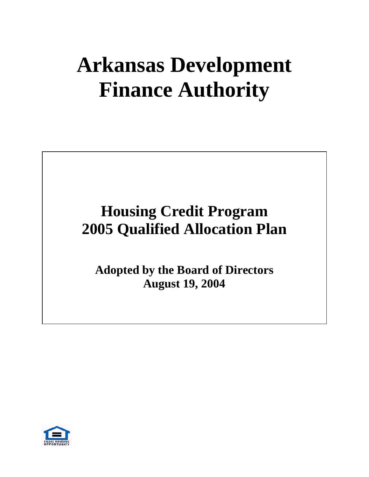# **Arkansas Development Finance Authority**

# **Housing Credit Program 2005 Qualified Allocation Plan**

**Adopted by the Board of Directors August 19, 2004**

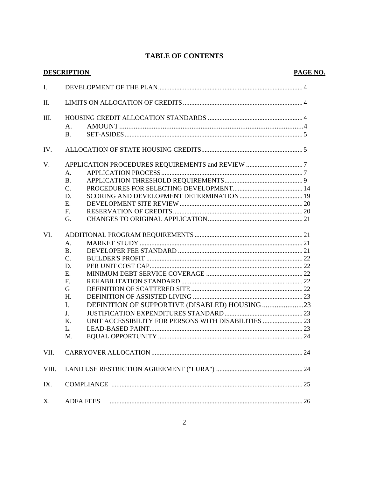# **TABLE OF CONTENTS**

| <b>DESCRIPTION</b> |                                                            | PAGE NO. |
|--------------------|------------------------------------------------------------|----------|
| Ι.                 |                                                            |          |
| П.                 |                                                            |          |
| III.               |                                                            |          |
|                    | A.                                                         |          |
|                    | <b>B.</b>                                                  |          |
| IV.                |                                                            |          |
| V.                 |                                                            |          |
|                    | A.                                                         |          |
|                    | <b>B.</b>                                                  |          |
|                    | $C_{\cdot}$                                                |          |
|                    | D.                                                         |          |
|                    | Ε.                                                         |          |
|                    | F.                                                         |          |
|                    | G.                                                         |          |
| VI.                |                                                            |          |
|                    | A.                                                         |          |
|                    | <b>B.</b>                                                  |          |
|                    | C.                                                         |          |
|                    | D.                                                         |          |
|                    | Ε.                                                         |          |
|                    | F.                                                         |          |
|                    | G                                                          |          |
|                    | H.                                                         |          |
|                    | DEFINITION OF SUPPORTIVE (DISABLED) HOUSING23<br>I.        |          |
|                    | J.                                                         |          |
|                    | UNIT ACCESSIBILITY FOR PERSONS WITH DISABILITIES  23<br>Κ. |          |
|                    | L.                                                         |          |
|                    | M.                                                         | 24       |
| VII.               |                                                            |          |
| VIII.              |                                                            |          |
| IX.                |                                                            |          |
| Χ.                 | <b>ADFA FEES</b>                                           |          |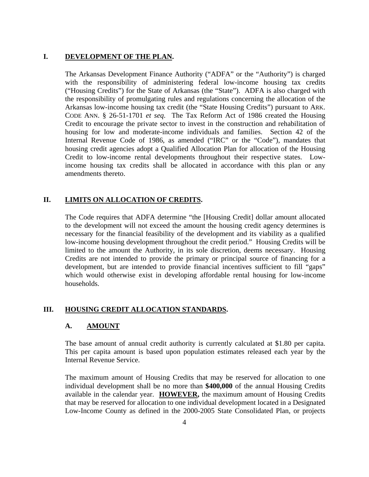#### **I. DEVELOPMENT OF THE PLAN.**

The Arkansas Development Finance Authority ("ADFA" or the "Authority") is charged with the responsibility of administering federal low-income housing tax credits ("Housing Credits") for the State of Arkansas (the "State"). ADFA is also charged with the responsibility of promulgating rules and regulations concerning the allocation of the Arkansas low-income housing tax credit (the "State Housing Credits") pursuant to ARK. CODE ANN. § 26-51-1701 *et seq*. The Tax Reform Act of 1986 created the Housing Credit to encourage the private sector to invest in the construction and rehabilitation of housing for low and moderate-income individuals and families. Section 42 of the Internal Revenue Code of 1986, as amended ("IRC" or the "Code"), mandates that housing credit agencies adopt a Qualified Allocation Plan for allocation of the Housing Credit to low-income rental developments throughout their respective states. Lowincome housing tax credits shall be allocated in accordance with this plan or any amendments thereto.

#### **II. LIMITS ON ALLOCATION OF CREDITS.**

The Code requires that ADFA determine "the [Housing Credit] dollar amount allocated to the development will not exceed the amount the housing credit agency determines is necessary for the financial feasibility of the development and its viability as a qualified low-income housing development throughout the credit period." Housing Credits will be limited to the amount the Authority, in its sole discretion, deems necessary. Housing Credits are not intended to provide the primary or principal source of financing for a development, but are intended to provide financial incentives sufficient to fill "gaps" which would otherwise exist in developing affordable rental housing for low-income households.

#### **III. HOUSING CREDIT ALLOCATION STANDARDS.**

#### A. **AMOUNT**

The base amount of annual credit authority is currently calculated at \$1.80 per capita. This per capita amount is based upon population estimates released each year by the Internal Revenue Service.

The maximum amount of Housing Credits that may be reserved for allocation to one individual development shall be no more than **\$400,000** of the annual Housing Credits available in the calendar year. **HOWEVER,** the maximum amount of Housing Credits that may be reserved for allocation to one individual development located in a Designated Low-Income County as defined in the 2000-2005 State Consolidated Plan, or projects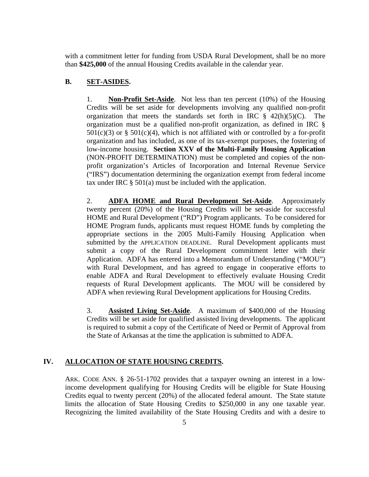with a commitment letter for funding from USDA Rural Development, shall be no more than **\$425,000** of the annual Housing Credits available in the calendar year.

### **B. SET-ASIDES.**

 1. **Non-Profit Set-Aside**. Not less than ten percent (10%) of the Housing Credits will be set aside for developments involving any qualified non-profit organization that meets the standards set forth in IRC  $\S$  42(h)(5)(C). The organization must be a qualified non-profit organization, as defined in IRC §  $501(c)(3)$  or §  $501(c)(4)$ , which is not affiliated with or controlled by a for-profit organization and has included, as one of its tax-exempt purposes, the fostering of low-income housing. **Section XXV of the Multi-Family Housing Application** (NON-PROFIT DETERMINATION) must be completed and copies of the nonprofit organization's Articles of Incorporation and Internal Revenue Service ("IRS") documentation determining the organization exempt from federal income tax under IRC § 501(a) must be included with the application.

 2. **ADFA HOME and Rural Development Set-Aside**. Approximately twenty percent (20%) of the Housing Credits will be set-aside for successful HOME and Rural Development ("RD") Program applicants. To be considered for HOME Program funds, applicants must request HOME funds by completing the appropriate sections in the 2005 Multi-Family Housing Application when submitted by the APPLICATION DEADLINE. Rural Development applicants must submit a copy of the Rural Development commitment letter with their Application. ADFA has entered into a Memorandum of Understanding ("MOU") with Rural Development, and has agreed to engage in cooperative efforts to enable ADFA and Rural Development to effectively evaluate Housing Credit requests of Rural Development applicants. The MOU will be considered by ADFA when reviewing Rural Development applications for Housing Credits.

 3. **Assisted Living Set-Aside**. A maximum of \$400,000 of the Housing Credits will be set aside for qualified assisted living developments. The applicant is required to submit a copy of the Certificate of Need or Permit of Approval from the State of Arkansas at the time the application is submitted to ADFA.

# **IV. ALLOCATION OF STATE HOUSING CREDITS.**

ARK. CODE ANN. § 26-51-1702 provides that a taxpayer owning an interest in a lowincome development qualifying for Housing Credits will be eligible for State Housing Credits equal to twenty percent (20%) of the allocated federal amount. The State statute limits the allocation of State Housing Credits to \$250,000 in any one taxable year. Recognizing the limited availability of the State Housing Credits and with a desire to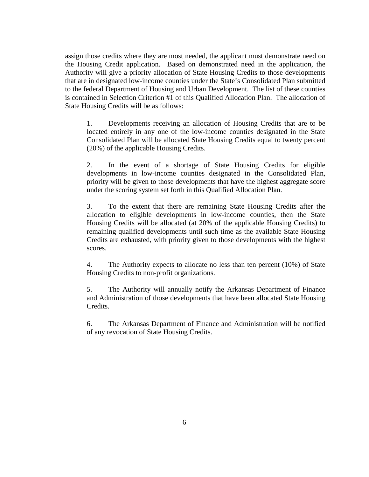assign those credits where they are most needed, the applicant must demonstrate need on the Housing Credit application. Based on demonstrated need in the application, the Authority will give a priority allocation of State Housing Credits to those developments that are in designated low-income counties under the State's Consolidated Plan submitted to the federal Department of Housing and Urban Development. The list of these counties is contained in Selection Criterion #1 of this Qualified Allocation Plan. The allocation of State Housing Credits will be as follows:

 1. Developments receiving an allocation of Housing Credits that are to be located entirely in any one of the low-income counties designated in the State Consolidated Plan will be allocated State Housing Credits equal to twenty percent (20%) of the applicable Housing Credits.

 2. In the event of a shortage of State Housing Credits for eligible developments in low-income counties designated in the Consolidated Plan, priority will be given to those developments that have the highest aggregate score under the scoring system set forth in this Qualified Allocation Plan.

 3. To the extent that there are remaining State Housing Credits after the allocation to eligible developments in low-income counties, then the State Housing Credits will be allocated (at 20% of the applicable Housing Credits) to remaining qualified developments until such time as the available State Housing Credits are exhausted, with priority given to those developments with the highest scores.

 4. The Authority expects to allocate no less than ten percent (10%) of State Housing Credits to non-profit organizations.

 5. The Authority will annually notify the Arkansas Department of Finance and Administration of those developments that have been allocated State Housing Credits.

6. The Arkansas Department of Finance and Administration will be notified of any revocation of State Housing Credits.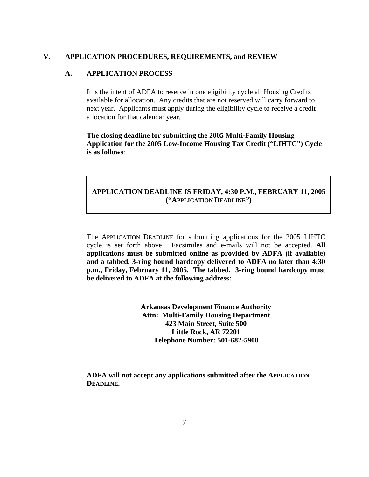#### **V. APPLICATION PROCEDURES, REQUIREMENTS, and REVIEW**

#### **A. APPLICATION PROCESS**

It is the intent of ADFA to reserve in one eligibility cycle all Housing Credits available for allocation. Any credits that are not reserved will carry forward to next year. Applicants must apply during the eligibility cycle to receive a credit allocation for that calendar year.

**The closing deadline for submitting the 2005 Multi-Family Housing Application for the 2005 Low-Income Housing Tax Credit ("LIHTC") Cycle is as follows**:

# **APPLICATION DEADLINE IS FRIDAY, 4:30 P.M., FEBRUARY 11, 2005 ("APPLICATION DEADLINE")**

The APPLICATION DEADLINE for submitting applications for the 2005 LIHTC cycle is set forth above. Facsimiles and e-mails will not be accepted. **All applications must be submitted online as provided by ADFA (if available) and a tabbed, 3-ring bound hardcopy delivered to ADFA no later than 4:30 p.m., Friday, February 11, 2005. The tabbed, 3-ring bound hardcopy must be delivered to ADFA at the following address:**

> **Arkansas Development Finance Authority Attn: Multi-Family Housing Department 423 Main Street, Suite 500 Little Rock, AR 72201 Telephone Number: 501-682-5900**

**ADFA will not accept any applications submitted after the APPLICATION DEADLINE.**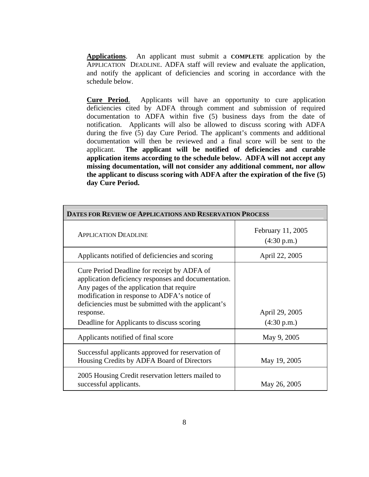**Applications**. An applicant must submit a **COMPLETE** application by the APPLICATION DEADLINE. ADFA staff will review and evaluate the application, and notify the applicant of deficiencies and scoring in accordance with the schedule below.

**Cure Period**. Applicants will have an opportunity to cure application deficiencies cited by ADFA through comment and submission of required documentation to ADFA within five (5) business days from the date of notification. Applicants will also be allowed to discuss scoring with ADFA during the five (5) day Cure Period. The applicant's comments and additional documentation will then be reviewed and a final score will be sent to the applicant. **The applicant will be notified of deficiencies and curable application items according to the schedule below. ADFA will not accept any missing documentation, will not consider any additional comment, nor allow the applicant to discuss scoring with ADFA after the expiration of the five (5) day Cure Period.** 

| DATES FOR REVIEW OF APPLICATIONS AND RESERVATION PROCESS                                                                                                                                                                                                                                                          |                                  |  |
|-------------------------------------------------------------------------------------------------------------------------------------------------------------------------------------------------------------------------------------------------------------------------------------------------------------------|----------------------------------|--|
| <b>APPLICATION DEADLINE</b>                                                                                                                                                                                                                                                                                       | February 11, 2005<br>(4:30 p.m.) |  |
| Applicants notified of deficiencies and scoring                                                                                                                                                                                                                                                                   | April 22, 2005                   |  |
| Cure Period Deadline for receipt by ADFA of<br>application deficiency responses and documentation.<br>Any pages of the application that require<br>modification in response to ADFA's notice of<br>deficiencies must be submitted with the applicant's<br>response.<br>Deadline for Applicants to discuss scoring | April 29, 2005<br>(4:30 p.m.)    |  |
| Applicants notified of final score                                                                                                                                                                                                                                                                                | May 9, 2005                      |  |
| Successful applicants approved for reservation of<br>Housing Credits by ADFA Board of Directors                                                                                                                                                                                                                   | May 19, 2005                     |  |
| 2005 Housing Credit reservation letters mailed to<br>successful applicants.                                                                                                                                                                                                                                       | May 26, 2005                     |  |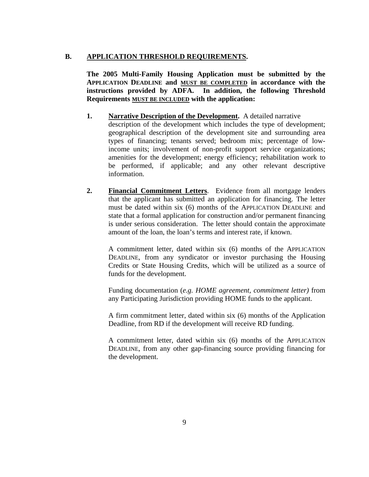### **B. APPLICATION THRESHOLD REQUIREMENTS.**

**The 2005 Multi-Family Housing Application must be submitted by the APPLICATION DEADLINE and MUST BE COMPLETED in accordance with the instructions provided by ADFA. In addition, the following Threshold Requirements MUST BE INCLUDED with the application:** 

- **1. Narrative Description of the Development.** A detailed narrative description of the development which includes the type of development; geographical description of the development site and surrounding area types of financing; tenants served; bedroom mix; percentage of lowincome units; involvement of non-profit support service organizations; amenities for the development; energy efficiency; rehabilitation work to be performed, if applicable; and any other relevant descriptive information.
- **2. Financial Commitment Letters**. Evidence from all mortgage lenders that the applicant has submitted an application for financing. The letter must be dated within six (6) months of the APPLICATION DEADLINE and state that a formal application for construction and/or permanent financing is under serious consideration. The letter should contain the approximate amount of the loan, the loan's terms and interest rate, if known.

A commitment letter, dated within six (6) months of the APPLICATION DEADLINE, from any syndicator or investor purchasing the Housing Credits or State Housing Credits, which will be utilized as a source of funds for the development.

Funding documentation (*e.g. HOME agreement, commitment letter)* from any Participating Jurisdiction providing HOME funds to the applicant.

A firm commitment letter, dated within six (6) months of the Application Deadline, from RD if the development will receive RD funding.

A commitment letter, dated within six (6) months of the APPLICATION DEADLINE, from any other gap-financing source providing financing for the development.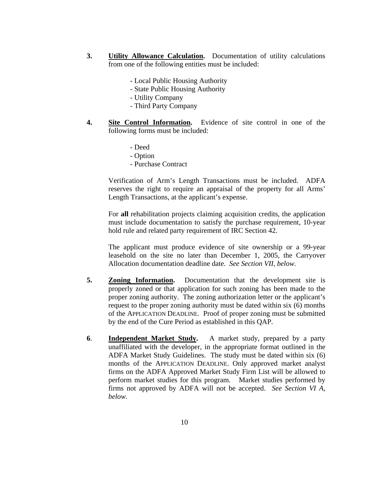- **3. Utility Allowance Calculation.** Documentation of utility calculations from one of the following entities must be included:
	- Local Public Housing Authority
	- State Public Housing Authority
	- Utility Company
	- Third Party Company
- **4. Site Control Information.** Evidence of site control in one of the following forms must be included:
	- Deed
	- Option
	- Purchase Contract

Verification of Arm's Length Transactions must be included. ADFA reserves the right to require an appraisal of the property for all Arms' Length Transactions, at the applicant's expense.

For **all** rehabilitation projects claiming acquisition credits, the application must include documentation to satisfy the purchase requirement, 10-year hold rule and related party requirement of IRC Section 42.

The applicant must produce evidence of site ownership or a 99-year leasehold on the site no later than December 1, 2005, the Carryover Allocation documentation deadline date. *See Section VII, below.* 

- **5. Zoning Information.** Documentation that the development site is properly zoned or that application for such zoning has been made to the proper zoning authority. The zoning authorization letter or the applicant's request to the proper zoning authority must be dated within six (6) months of the APPLICATION DEADLINE. Proof of proper zoning must be submitted by the end of the Cure Period as established in this QAP.
- **6**. **Independent Market Study.** A market study, prepared by a party unaffiliated with the developer, in the appropriate format outlined in the ADFA Market Study Guidelines. The study must be dated within six (6) months of the APPLICATION DEADLINE. Only approved market analyst firms on the ADFA Approved Market Study Firm List will be allowed to perform market studies for this program. Market studies performed by firms not approved by ADFA will not be accepted. *See Section VI A, below*.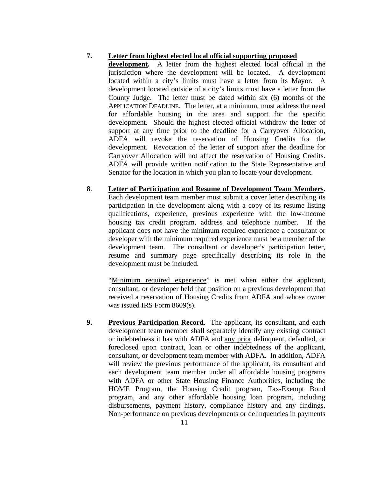#### **7. Letter from highest elected local official supporting proposed**

**development.** A letter from the highest elected local official in the jurisdiction where the development will be located. A development located within a city's limits must have a letter from its Mayor. A development located outside of a city's limits must have a letter from the County Judge. The letter must be dated within six (6) months of the APPLICATION DEADLINE. The letter, at a minimum, must address the need for affordable housing in the area and support for the specific development. Should the highest elected official withdraw the letter of support at any time prior to the deadline for a Carryover Allocation, ADFA will revoke the reservation of Housing Credits for the development. Revocation of the letter of support after the deadline for Carryover Allocation will not affect the reservation of Housing Credits. ADFA will provide written notification to the State Representative and Senator for the location in which you plan to locate your development.

**8**. **Letter of Participation and Resume of Development Team Members.**  Each development team member must submit a cover letter describing its participation in the development along with a copy of its resume listing qualifications, experience, previous experience with the low-income housing tax credit program, address and telephone number. If the applicant does not have the minimum required experience a consultant or developer with the minimum required experience must be a member of the development team. The consultant or developer's participation letter, resume and summary page specifically describing its role in the development must be included.

"Minimum required experience" is met when either the applicant, consultant, or developer held that position on a previous development that received a reservation of Housing Credits from ADFA and whose owner was issued IRS Form 8609(s).

**9. Previous Participation Record**. The applicant, its consultant, and each development team member shall separately identify any existing contract or indebtedness it has with ADFA and any prior delinquent, defaulted, or foreclosed upon contract, loan or other indebtedness of the applicant, consultant, or development team member with ADFA. In addition, ADFA will review the previous performance of the applicant, its consultant and each development team member under all affordable housing programs with ADFA or other State Housing Finance Authorities, including the HOME Program, the Housing Credit program, Tax-Exempt Bond program, and any other affordable housing loan program, including disbursements, payment history, compliance history and any findings. Non-performance on previous developments or delinquencies in payments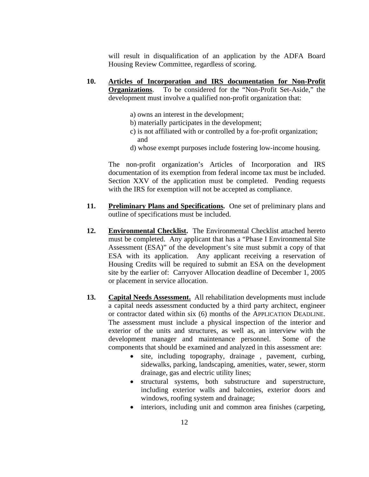will result in disqualification of an application by the ADFA Board Housing Review Committee, regardless of scoring.

- **10. Articles of Incorporation and IRS documentation for Non-Profit Organizations**. To be considered for the "Non-Profit Set-Aside," the development must involve a qualified non-profit organization that:
	- a) owns an interest in the development;
	- b) materially participates in the development;
	- c) is not affiliated with or controlled by a for-profit organization; and
	- d) whose exempt purposes include fostering low-income housing.

The non-profit organization's Articles of Incorporation and IRS documentation of its exemption from federal income tax must be included. Section XXV of the application must be completed. Pending requests with the IRS for exemption will not be accepted as compliance.

- **11. Preliminary Plans and Specifications.** One set of preliminary plans and outline of specifications must be included.
- **12. Environmental Checklist.** The Environmental Checklist attached hereto must be completed. Any applicant that has a "Phase I Environmental Site Assessment (ESA)" of the development's site must submit a copy of that ESA with its application. Any applicant receiving a reservation of Housing Credits will be required to submit an ESA on the development site by the earlier of: Carryover Allocation deadline of December 1, 2005 or placement in service allocation.
- **13. Capital Needs Assessment.** All rehabilitation developments must include a capital needs assessment conducted by a third party architect, engineer or contractor dated within six (6) months of the APPLICATION DEADLINE. The assessment must include a physical inspection of the interior and exterior of the units and structures, as well as, an interview with the development manager and maintenance personnel. Some of the components that should be examined and analyzed in this assessment are:
	- site, including topography, drainage , pavement, curbing, sidewalks, parking, landscaping, amenities, water, sewer, storm drainage, gas and electric utility lines;
	- structural systems, both substructure and superstructure, including exterior walls and balconies, exterior doors and windows, roofing system and drainage;
	- interiors, including unit and common area finishes (carpeting,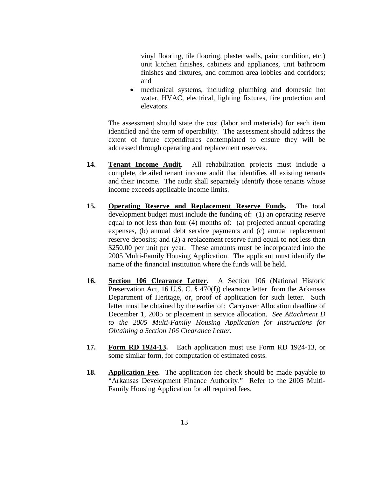vinyl flooring, tile flooring, plaster walls, paint condition, etc.) unit kitchen finishes, cabinets and appliances, unit bathroom finishes and fixtures, and common area lobbies and corridors; and

• mechanical systems, including plumbing and domestic hot water, HVAC, electrical, lighting fixtures, fire protection and elevators.

The assessment should state the cost (labor and materials) for each item identified and the term of operability. The assessment should address the extent of future expenditures contemplated to ensure they will be addressed through operating and replacement reserves.

- **14. Tenant Income Audit**. All rehabilitation projects must include a complete, detailed tenant income audit that identifies all existing tenants and their income. The audit shall separately identify those tenants whose income exceeds applicable income limits.
- **15. Operating Reserve and Replacement Reserve Funds.** The total development budget must include the funding of: (1) an operating reserve equal to not less than four (4) months of: (a) projected annual operating expenses, (b) annual debt service payments and (c) annual replacement reserve deposits; and (2) a replacement reserve fund equal to not less than \$250.00 per unit per year. These amounts must be incorporated into the 2005 Multi-Family Housing Application. The applicant must identify the name of the financial institution where the funds will be held.
- **16. Section 106 Clearance Letter.** A Section 106 (National Historic Preservation Act, 16 U.S. C. § 470(f)) clearance letter from the Arkansas Department of Heritage, or, proof of application for such letter. Such letter must be obtained by the earlier of: Carryover Allocation deadline of December 1, 2005 or placement in service allocation. *See Attachment D to the 2005 Multi-Family Housing Application for Instructions for Obtaining a Section 106 Clearance Letter.*
- **17. Form RD 1924-13.** Each application must use Form RD 1924-13, or some similar form, for computation of estimated costs.
- **18. Application Fee.** The application fee check should be made payable to "Arkansas Development Finance Authority." Refer to the 2005 Multi-Family Housing Application for all required fees.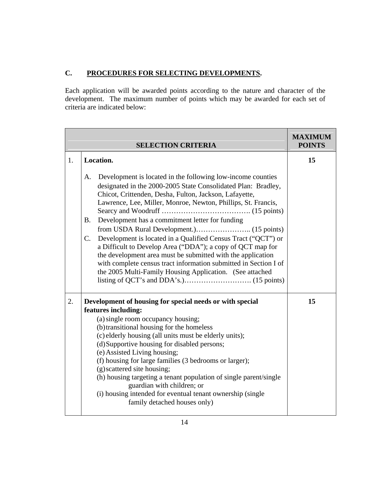# **C. PROCEDURES FOR SELECTING DEVELOPMENTS.**

Each application will be awarded points according to the nature and character of the development. The maximum number of points which may be awarded for each set of criteria are indicated below:

|    | <b>SELECTION CRITERIA</b>                                                                                                                                                                                                                                                                                                                                                                                                                                                                                                                                                                                                                                         | <b>MAXIMUM</b><br><b>POINTS</b> |
|----|-------------------------------------------------------------------------------------------------------------------------------------------------------------------------------------------------------------------------------------------------------------------------------------------------------------------------------------------------------------------------------------------------------------------------------------------------------------------------------------------------------------------------------------------------------------------------------------------------------------------------------------------------------------------|---------------------------------|
| 1. | Location.                                                                                                                                                                                                                                                                                                                                                                                                                                                                                                                                                                                                                                                         | 15                              |
|    | Development is located in the following low-income counties<br>A.<br>designated in the 2000-2005 State Consolidated Plan: Bradley,<br>Chicot, Crittenden, Desha, Fulton, Jackson, Lafayette,<br>Lawrence, Lee, Miller, Monroe, Newton, Phillips, St. Francis,<br>Development has a commitment letter for funding<br><b>B.</b><br>C.<br>Development is located in a Qualified Census Tract ("QCT") or<br>a Difficult to Develop Area ("DDA"); a copy of QCT map for<br>the development area must be submitted with the application<br>with complete census tract information submitted in Section I of<br>the 2005 Multi-Family Housing Application. (See attached |                                 |
| 2. | Development of housing for special needs or with special<br>features including:<br>(a) single room occupancy housing;<br>(b) transitional housing for the homeless<br>(c) elderly housing (all units must be elderly units);<br>(d) Supportive housing for disabled persons;<br>(e) Assisted Living housing;<br>(f) housing for large families (3 bedrooms or larger);<br>(g) scattered site housing;<br>(h) housing targeting a tenant population of single parent/single<br>guardian with children; or<br>(i) housing intended for eventual tenant ownership (single<br>family detached houses only)                                                            | 15                              |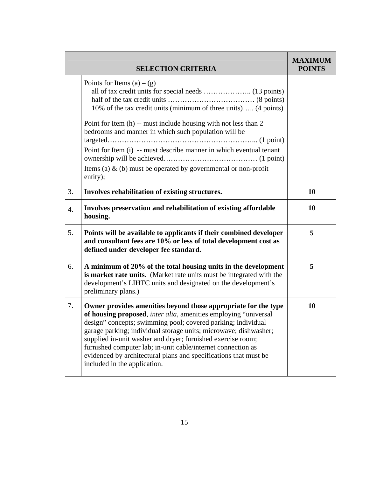|    | <b>SELECTION CRITERIA</b>                                                                                                                                                                                                                                                                                                                                                                                                                                                                                | <b>MAXIMUM</b><br><b>POINTS</b> |
|----|----------------------------------------------------------------------------------------------------------------------------------------------------------------------------------------------------------------------------------------------------------------------------------------------------------------------------------------------------------------------------------------------------------------------------------------------------------------------------------------------------------|---------------------------------|
|    | Points for Items $(a) - (g)$<br>10% of the tax credit units (minimum of three units) (4 points)<br>Point for Item (h) -- must include housing with not less than 2<br>bedrooms and manner in which such population will be<br>Point for Item (i) -- must describe manner in which eventual tenant<br>Items (a) $\&$ (b) must be operated by governmental or non-profit<br>entity);                                                                                                                       |                                 |
| 3. | Involves rehabilitation of existing structures.                                                                                                                                                                                                                                                                                                                                                                                                                                                          | 10                              |
| 4. | Involves preservation and rehabilitation of existing affordable<br>housing.                                                                                                                                                                                                                                                                                                                                                                                                                              | 10                              |
| 5. | Points will be available to applicants if their combined developer<br>and consultant fees are 10% or less of total development cost as<br>defined under developer fee standard.                                                                                                                                                                                                                                                                                                                          | 5                               |
| 6. | A minimum of 20% of the total housing units in the development<br>is market rate units. (Market rate units must be integrated with the<br>development's LIHTC units and designated on the development's<br>preliminary plans.)                                                                                                                                                                                                                                                                           | 5                               |
| 7. | Owner provides amenities beyond those appropriate for the type<br>of housing proposed, inter alia, amenities employing "universal<br>design" concepts; swimming pool; covered parking; individual<br>garage parking; individual storage units; microwave; dishwasher;<br>supplied in-unit washer and dryer; furnished exercise room;<br>furnished computer lab; in-unit cable/internet connection as<br>evidenced by architectural plans and specifications that must be<br>included in the application. | 10                              |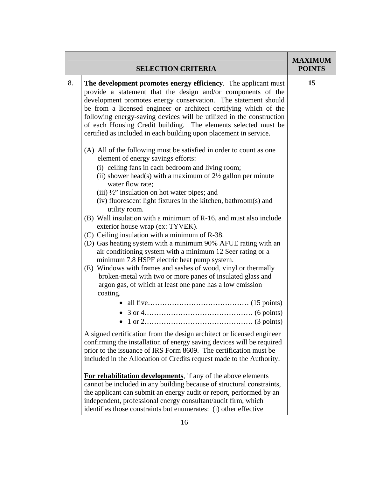|    | <b>SELECTION CRITERIA</b>                                                                                                                                                                                                                                                                                                                                                                                                                                                                                                                                                                                                                                                                                                                                                                                                                                                                                                                                                                                                                                                                                                                                                                                                                                                                                                                                                                                                                 | <b>MAXIMUM</b><br><b>POINTS</b> |
|----|-------------------------------------------------------------------------------------------------------------------------------------------------------------------------------------------------------------------------------------------------------------------------------------------------------------------------------------------------------------------------------------------------------------------------------------------------------------------------------------------------------------------------------------------------------------------------------------------------------------------------------------------------------------------------------------------------------------------------------------------------------------------------------------------------------------------------------------------------------------------------------------------------------------------------------------------------------------------------------------------------------------------------------------------------------------------------------------------------------------------------------------------------------------------------------------------------------------------------------------------------------------------------------------------------------------------------------------------------------------------------------------------------------------------------------------------|---------------------------------|
| 8. | The development promotes energy efficiency. The applicant must<br>provide a statement that the design and/or components of the<br>development promotes energy conservation. The statement should<br>be from a licensed engineer or architect certifying which of the<br>following energy-saving devices will be utilized in the construction<br>of each Housing Credit building. The elements selected must be<br>certified as included in each building upon placement in service.<br>(A) All of the following must be satisfied in order to count as one<br>element of energy savings efforts:<br>(i) ceiling fans in each bedroom and living room;<br>(ii) shower head(s) with a maximum of $2\frac{1}{2}$ gallon per minute<br>water flow rate;<br>(iii) 1/2" insulation on hot water pipes; and<br>(iv) fluorescent light fixtures in the kitchen, bathroom(s) and<br>utility room.<br>(B) Wall insulation with a minimum of R-16, and must also include<br>exterior house wrap (ex: TYVEK).<br>(C) Ceiling insulation with a minimum of R-38.<br>(D) Gas heating system with a minimum 90% AFUE rating with an<br>air conditioning system with a minimum 12 Seer rating or a<br>minimum 7.8 HSPF electric heat pump system.<br>(E) Windows with frames and sashes of wood, vinyl or thermally<br>broken-metal with two or more panes of insulated glass and<br>argon gas, of which at least one pane has a low emission<br>coating. | 15                              |
|    | A signed certification from the design architect or licensed engineer<br>confirming the installation of energy saving devices will be required<br>prior to the issuance of IRS Form 8609. The certification must be<br>included in the Allocation of Credits request made to the Authority.<br>For rehabilitation developments, if any of the above elements<br>cannot be included in any building because of structural constraints,<br>the applicant can submit an energy audit or report, performed by an<br>independent, professional energy consultant/audit firm, which<br>identifies those constraints but enumerates: (i) other effective                                                                                                                                                                                                                                                                                                                                                                                                                                                                                                                                                                                                                                                                                                                                                                                         |                                 |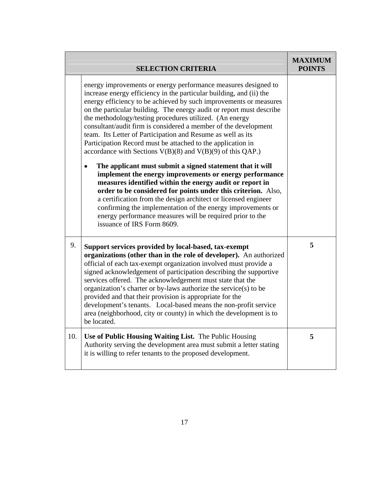|     | <b>SELECTION CRITERIA</b>                                                                                                                                                                                                                                                                                                                                                                                                                                                                                                                                                                                                                                                                                                                                                                                                                                                                                                                                                                                                                                                                         | <b>MAXIMUM</b><br><b>POINTS</b> |
|-----|---------------------------------------------------------------------------------------------------------------------------------------------------------------------------------------------------------------------------------------------------------------------------------------------------------------------------------------------------------------------------------------------------------------------------------------------------------------------------------------------------------------------------------------------------------------------------------------------------------------------------------------------------------------------------------------------------------------------------------------------------------------------------------------------------------------------------------------------------------------------------------------------------------------------------------------------------------------------------------------------------------------------------------------------------------------------------------------------------|---------------------------------|
|     | energy improvements or energy performance measures designed to<br>increase energy efficiency in the particular building, and (ii) the<br>energy efficiency to be achieved by such improvements or measures<br>on the particular building. The energy audit or report must describe<br>the methodology/testing procedures utilized. (An energy<br>consultant/audit firm is considered a member of the development<br>team. Its Letter of Participation and Resume as well as its<br>Participation Record must be attached to the application in<br>accordance with Sections $V(B)(8)$ and $V(B)(9)$ of this QAP.)<br>The applicant must submit a signed statement that it will<br>implement the energy improvements or energy performance<br>measures identified within the energy audit or report in<br>order to be considered for points under this criterion. Also,<br>a certification from the design architect or licensed engineer<br>confirming the implementation of the energy improvements or<br>energy performance measures will be required prior to the<br>issuance of IRS Form 8609. |                                 |
| 9.  | Support services provided by local-based, tax-exempt<br>organizations (other than in the role of developer). An authorized<br>official of each tax-exempt organization involved must provide a<br>signed acknowledgement of participation describing the supportive<br>services offered. The acknowledgement must state that the<br>organization's charter or by-laws authorize the service(s) to be<br>provided and that their provision is appropriate for the<br>development's tenants. Local-based means the non-profit service<br>area (neighborhood, city or county) in which the development is to<br>be located.                                                                                                                                                                                                                                                                                                                                                                                                                                                                          | 5                               |
| 10. | Use of Public Housing Waiting List. The Public Housing<br>Authority serving the development area must submit a letter stating<br>it is willing to refer tenants to the proposed development.                                                                                                                                                                                                                                                                                                                                                                                                                                                                                                                                                                                                                                                                                                                                                                                                                                                                                                      | 5                               |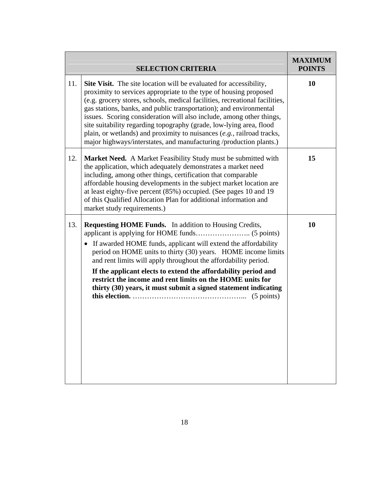|     |                                                                                                                                                                                                                                                                                                                                                                                                                                                                                                                                                                                                    | <b>MAXIMUM</b> |
|-----|----------------------------------------------------------------------------------------------------------------------------------------------------------------------------------------------------------------------------------------------------------------------------------------------------------------------------------------------------------------------------------------------------------------------------------------------------------------------------------------------------------------------------------------------------------------------------------------------------|----------------|
|     | <b>SELECTION CRITERIA</b>                                                                                                                                                                                                                                                                                                                                                                                                                                                                                                                                                                          | <b>POINTS</b>  |
| 11. | <b>Site Visit.</b> The site location will be evaluated for accessibility,<br>proximity to services appropriate to the type of housing proposed<br>(e.g. grocery stores, schools, medical facilities, recreational facilities,<br>gas stations, banks, and public transportation); and environmental<br>issues. Scoring consideration will also include, among other things,<br>site suitability regarding topography (grade, low-lying area, flood<br>plain, or wetlands) and proximity to nuisances (e.g., railroad tracks,<br>major highways/interstates, and manufacturing /production plants.) | 10             |
| 12. | <b>Market Need.</b> A Market Feasibility Study must be submitted with<br>the application, which adequately demonstrates a market need<br>including, among other things, certification that comparable<br>affordable housing developments in the subject market location are<br>at least eighty-five percent (85%) occupied. (See pages 10 and 19<br>of this Qualified Allocation Plan for additional information and<br>market study requirements.)                                                                                                                                                | 15             |
| 13. | <b>Requesting HOME Funds.</b> In addition to Housing Credits,<br>If awarded HOME funds, applicant will extend the affordability<br>period on HOME units to thirty (30) years. HOME income limits<br>and rent limits will apply throughout the affordability period.<br>If the applicant elects to extend the affordability period and<br>restrict the income and rent limits on the HOME units for<br>thirty (30) years, it must submit a signed statement indicating                                                                                                                              | 10             |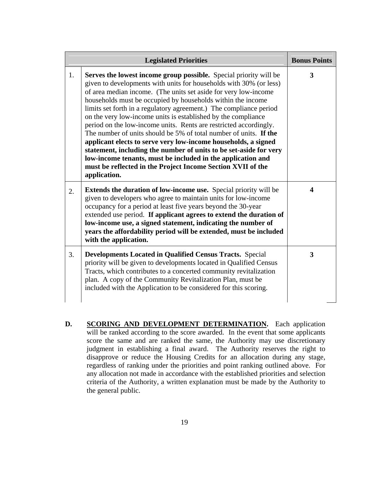| <b>Legislated Priorities</b> |                                                                                                                                                                                                                                                                                                                                                                                                                                                                                                                                                                                                                                                                                                                                                                                                                                                 | <b>Bonus Points</b> |
|------------------------------|-------------------------------------------------------------------------------------------------------------------------------------------------------------------------------------------------------------------------------------------------------------------------------------------------------------------------------------------------------------------------------------------------------------------------------------------------------------------------------------------------------------------------------------------------------------------------------------------------------------------------------------------------------------------------------------------------------------------------------------------------------------------------------------------------------------------------------------------------|---------------------|
| 1.                           | Serves the lowest income group possible. Special priority will be<br>given to developments with units for households with 30% (or less)<br>of area median income. (The units set aside for very low-income<br>households must be occupied by households within the income<br>limits set forth in a regulatory agreement.) The compliance period<br>on the very low-income units is established by the compliance<br>period on the low-income units. Rents are restricted accordingly.<br>The number of units should be 5% of total number of units. If the<br>applicant elects to serve very low-income households, a signed<br>statement, including the number of units to be set-aside for very<br>low-income tenants, must be included in the application and<br>must be reflected in the Project Income Section XVII of the<br>application. | 3                   |
| 2.                           | <b>Extends the duration of low-income use.</b> Special priority will be<br>given to developers who agree to maintain units for low-income<br>occupancy for a period at least five years beyond the 30-year<br>extended use period. If applicant agrees to extend the duration of<br>low-income use, a signed statement, indicating the number of<br>years the affordability period will be extended, must be included<br>with the application.                                                                                                                                                                                                                                                                                                                                                                                                  | $\boldsymbol{4}$    |
| 3.                           | Developments Located in Qualified Census Tracts. Special<br>priority will be given to developments located in Qualified Census<br>Tracts, which contributes to a concerted community revitalization<br>plan. A copy of the Community Revitalization Plan, must be<br>included with the Application to be considered for this scoring.                                                                                                                                                                                                                                                                                                                                                                                                                                                                                                           | 3                   |

**D. SCORING AND DEVELOPMENT DETERMINATION.** Each application will be ranked according to the score awarded. In the event that some applicants score the same and are ranked the same, the Authority may use discretionary judgment in establishing a final award. The Authority reserves the right to disapprove or reduce the Housing Credits for an allocation during any stage, regardless of ranking under the priorities and point ranking outlined above. For any allocation not made in accordance with the established priorities and selection criteria of the Authority, a written explanation must be made by the Authority to the general public.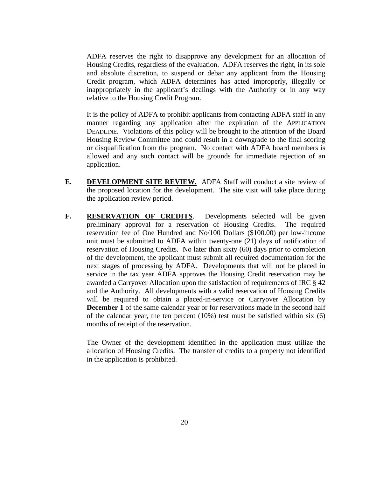ADFA reserves the right to disapprove any development for an allocation of Housing Credits, regardless of the evaluation. ADFA reserves the right, in its sole and absolute discretion, to suspend or debar any applicant from the Housing Credit program, which ADFA determines has acted improperly, illegally or inappropriately in the applicant's dealings with the Authority or in any way relative to the Housing Credit Program.

It is the policy of ADFA to prohibit applicants from contacting ADFA staff in any manner regarding any application after the expiration of the APPLICATION DEADLINE. Violations of this policy will be brought to the attention of the Board Housing Review Committee and could result in a downgrade to the final scoring or disqualification from the program. No contact with ADFA board members is allowed and any such contact will be grounds for immediate rejection of an application.

- **E.** DEVELOPMENT SITE REVIEW. ADFA Staff will conduct a site review of the proposed location for the development. The site visit will take place during the application review period.
- **F. RESERVATION OF CREDITS**. Developments selected will be given preliminary approval for a reservation of Housing Credits. The required reservation fee of One Hundred and No/100 Dollars (\$100.00) per low-income unit must be submitted to ADFA within twenty-one (21) days of notification of reservation of Housing Credits. No later than sixty (60) days prior to completion of the development, the applicant must submit all required documentation for the next stages of processing by ADFA. Developments that will not be placed in service in the tax year ADFA approves the Housing Credit reservation may be awarded a Carryover Allocation upon the satisfaction of requirements of IRC § 42 and the Authority. All developments with a valid reservation of Housing Credits will be required to obtain a placed-in-service or Carryover Allocation by **December 1** of the same calendar year or for reservations made in the second half of the calendar year, the ten percent (10%) test must be satisfied within six (6) months of receipt of the reservation.

The Owner of the development identified in the application must utilize the allocation of Housing Credits. The transfer of credits to a property not identified in the application is prohibited.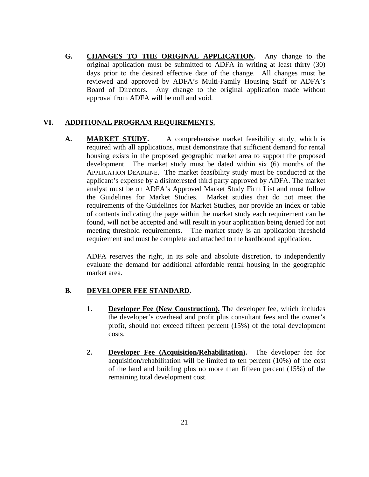**G. CHANGES TO THE ORIGINAL APPLICATION.** Any change to the original application must be submitted to ADFA in writing at least thirty (30) days prior to the desired effective date of the change. All changes must be reviewed and approved by ADFA's Multi-Family Housing Staff or ADFA's Board of Directors. Any change to the original application made without approval from ADFA will be null and void.

### **VI. ADDITIONAL PROGRAM REQUIREMENTS.**

A. **MARKET STUDY.** A comprehensive market feasibility study, which is required with all applications, must demonstrate that sufficient demand for rental housing exists in the proposed geographic market area to support the proposed development. The market study must be dated within six (6) months of the APPLICATION DEADLINE. The market feasibility study must be conducted at the applicant's expense by a disinterested third party approved by ADFA. The market analyst must be on ADFA's Approved Market Study Firm List and must follow the Guidelines for Market Studies. Market studies that do not meet the requirements of the Guidelines for Market Studies, nor provide an index or table of contents indicating the page within the market study each requirement can be found, will not be accepted and will result in your application being denied for not meeting threshold requirements. The market study is an application threshold requirement and must be complete and attached to the hardbound application.

ADFA reserves the right, in its sole and absolute discretion, to independently evaluate the demand for additional affordable rental housing in the geographic market area.

#### **B. DEVELOPER FEE STANDARD.**

- **1. Developer Fee (New Construction).** The developer fee, which includes the developer's overhead and profit plus consultant fees and the owner's profit, should not exceed fifteen percent (15%) of the total development costs.
- **2. Developer Fee (Acquisition/Rehabilitation).** The developer fee for acquisition/rehabilitation will be limited to ten percent (10%) of the cost of the land and building plus no more than fifteen percent (15%) of the remaining total development cost.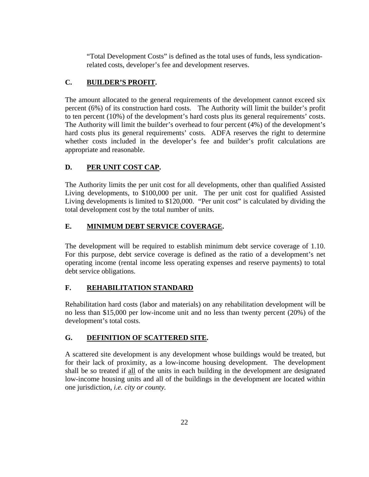"Total Development Costs" is defined as the total uses of funds, less syndicationrelated costs, developer's fee and development reserves.

# **C. BUILDER'S PROFIT.**

The amount allocated to the general requirements of the development cannot exceed six percent (6%) of its construction hard costs. The Authority will limit the builder's profit to ten percent (10%) of the development's hard costs plus its general requirements' costs. The Authority will limit the builder's overhead to four percent (4%) of the development's hard costs plus its general requirements' costs. ADFA reserves the right to determine whether costs included in the developer's fee and builder's profit calculations are appropriate and reasonable.

# **D. PER UNIT COST CAP.**

The Authority limits the per unit cost for all developments, other than qualified Assisted Living developments, to \$100,000 per unit. The per unit cost for qualified Assisted Living developments is limited to \$120,000. "Per unit cost" is calculated by dividing the total development cost by the total number of units.

# **E. MINIMUM DEBT SERVICE COVERAGE.**

The development will be required to establish minimum debt service coverage of 1.10. For this purpose, debt service coverage is defined as the ratio of a development's net operating income (rental income less operating expenses and reserve payments) to total debt service obligations.

# **F. REHABILITATION STANDARD**

Rehabilitation hard costs (labor and materials) on any rehabilitation development will be no less than \$15,000 per low-income unit and no less than twenty percent (20%) of the development's total costs.

# **G. DEFINITION OF SCATTERED SITE.**

A scattered site development is any development whose buildings would be treated, but for their lack of proximity, as a low-income housing development. The development shall be so treated if all of the units in each building in the development are designated low-income housing units and all of the buildings in the development are located within one jurisdiction, *i.e. city or county.*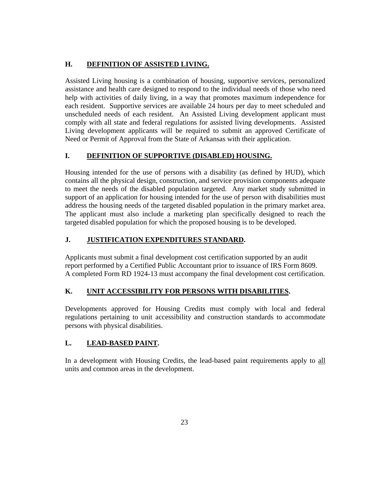# **H. DEFINITION OF ASSISTED LIVING.**

Assisted Living housing is a combination of housing, supportive services, personalized assistance and health care designed to respond to the individual needs of those who need help with activities of daily living, in a way that promotes maximum independence for each resident. Supportive services are available 24 hours per day to meet scheduled and unscheduled needs of each resident. An Assisted Living development applicant must comply with all state and federal regulations for assisted living developments. Assisted Living development applicants will be required to submit an approved Certificate of Need or Permit of Approval from the State of Arkansas with their application.

# **I. DEFINITION OF SUPPORTIVE (DISABLED) HOUSING.**

Housing intended for the use of persons with a disability (as defined by HUD), which contains all the physical design, construction, and service provision components adequate to meet the needs of the disabled population targeted. Any market study submitted in support of an application for housing intended for the use of person with disabilities must address the housing needs of the targeted disabled population in the primary market area. The applicant must also include a marketing plan specifically designed to reach the targeted disabled population for which the proposed housing is to be developed.

# **J. JUSTIFICATION EXPENDITURES STANDARD.**

Applicants must submit a final development cost certification supported by an audit report performed by a Certified Public Accountant prior to issuance of IRS Form 8609. A completed Form RD 1924-13 must accompany the final development cost certification.

# **K. UNIT ACCESSIBILITY FOR PERSONS WITH DISABILITIES.**

Developments approved for Housing Credits must comply with local and federal regulations pertaining to unit accessibility and construction standards to accommodate persons with physical disabilities.

# **L. LEAD-BASED PAINT.**

In a development with Housing Credits, the lead-based paint requirements apply to all units and common areas in the development.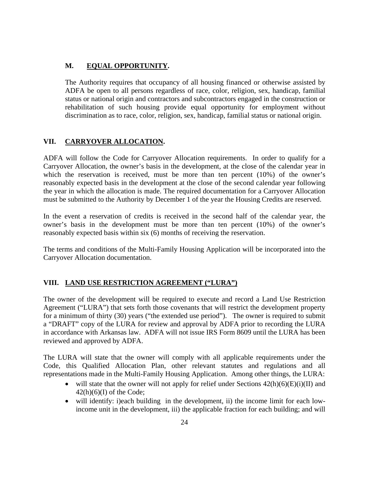### **M. EQUAL OPPORTUNITY.**

The Authority requires that occupancy of all housing financed or otherwise assisted by ADFA be open to all persons regardless of race, color, religion, sex, handicap, familial status or national origin and contractors and subcontractors engaged in the construction or rehabilitation of such housing provide equal opportunity for employment without discrimination as to race, color, religion, sex, handicap, familial status or national origin.

### **VII. CARRYOVER ALLOCATION.**

ADFA will follow the Code for Carryover Allocation requirements. In order to qualify for a Carryover Allocation, the owner's basis in the development, at the close of the calendar year in which the reservation is received, must be more than ten percent (10%) of the owner's reasonably expected basis in the development at the close of the second calendar year following the year in which the allocation is made. The required documentation for a Carryover Allocation must be submitted to the Authority by December 1 of the year the Housing Credits are reserved.

In the event a reservation of credits is received in the second half of the calendar year, the owner's basis in the development must be more than ten percent (10%) of the owner's reasonably expected basis within six (6) months of receiving the reservation.

The terms and conditions of the Multi-Family Housing Application will be incorporated into the Carryover Allocation documentation.

#### **VIII. LAND USE RESTRICTION AGREEMENT ("LURA")**

The owner of the development will be required to execute and record a Land Use Restriction Agreement ("LURA") that sets forth those covenants that will restrict the development property for a minimum of thirty (30) years ("the extended use period"). The owner is required to submit a "DRAFT" copy of the LURA for review and approval by ADFA prior to recording the LURA in accordance with Arkansas law. ADFA will not issue IRS Form 8609 until the LURA has been reviewed and approved by ADFA.

The LURA will state that the owner will comply with all applicable requirements under the Code, this Qualified Allocation Plan, other relevant statutes and regulations and all representations made in the Multi-Family Housing Application. Among other things, the LURA:

- will state that the owner will not apply for relief under Sections  $42(h)(6)(E)(i)(II)$  and  $42(h)(6)(I)$  of the Code;
- will identify: i)each building in the development, ii) the income limit for each lowincome unit in the development, iii) the applicable fraction for each building; and will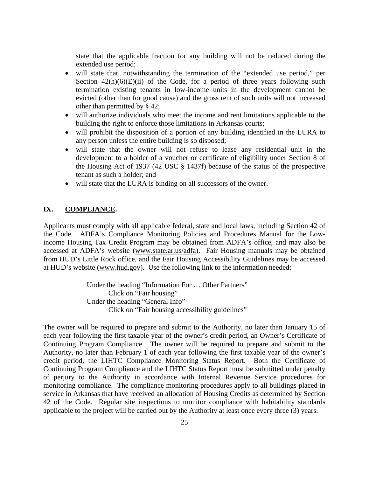state that the applicable fraction for any building will not be reduced during the extended use period;

- will state that, notwithstanding the termination of the "extended use period," per Section  $42(h)(6)(E)(ii)$  of the Code, for a period of three years following such termination existing tenants in low-income units in the development cannot be evicted (other than for good cause) and the gross rent of such units will not increased other than permitted by § 42;
- will authorize individuals who meet the income and rent limitations applicable to the building the right to enforce those limitations in Arkansas courts;
- will prohibit the disposition of a portion of any building identified in the LURA to any person unless the entire building is so disposed;
- will state that the owner will not refuse to lease any residential unit in the development to a holder of a voucher or certificate of eligibility under Section 8 of the Housing Act of 1937 (42 USC § 1437f) because of the status of the prospective tenant as such a holder; and
- will state that the LURA is binding on all successors of the owner.

# **IX. COMPLIANCE.**

Applicants must comply with all applicable federal, state and local laws, including Section 42 of the Code. ADFA's Compliance Monitoring Policies and Procedures Manual for the Lowincome Housing Tax Credit Program may be obtained from ADFA's office, and may also be accessed at ADFA's website (www.state.ar.us/adfa). Fair Housing manuals may be obtained from HUD's Little Rock office, and the Fair Housing Accessibility Guidelines may be accessed at HUD's website (www.hud.gov). Use the following link to the information needed:

> Under the heading "Information For … Other Partners" Click on "Fair housing" Under the heading "General Info" Click on "Fair housing accessibility guidelines"

The owner will be required to prepare and submit to the Authority, no later than January 15 of each year following the first taxable year of the owner's credit period, an Owner's Certificate of Continuing Program Compliance. The owner will be required to prepare and submit to the Authority, no later than February 1 of each year following the first taxable year of the owner's credit period, the LIHTC Compliance Monitoring Status Report. Both the Certificate of Continuing Program Compliance and the LIHTC Status Report must be submitted under penalty of perjury to the Authority in accordance with Internal Revenue Service procedures for monitoring compliance. The compliance monitoring procedures apply to all buildings placed in service in Arkansas that have received an allocation of Housing Credits as determined by Section 42 of the Code. Regular site inspections to monitor compliance with habitability standards applicable to the project will be carried out by the Authority at least once every three (3) years.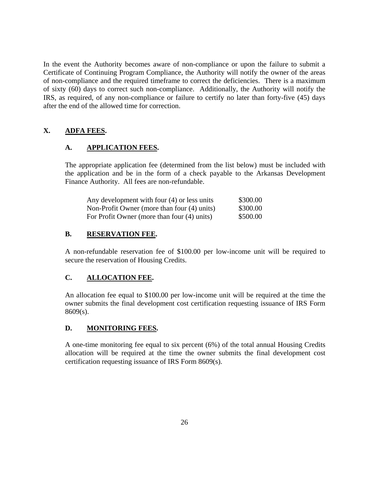In the event the Authority becomes aware of non-compliance or upon the failure to submit a Certificate of Continuing Program Compliance, the Authority will notify the owner of the areas of non-compliance and the required timeframe to correct the deficiencies. There is a maximum of sixty (60) days to correct such non-compliance. Additionally, the Authority will notify the IRS, as required, of any non-compliance or failure to certify no later than forty-five (45) days after the end of the allowed time for correction.

# **X. ADFA FEES.**

#### **A. APPLICATION FEES.**

The appropriate application fee (determined from the list below) must be included with the application and be in the form of a check payable to the Arkansas Development Finance Authority. All fees are non-refundable.

| Any development with four (4) or less units | \$300.00 |
|---------------------------------------------|----------|
| Non-Profit Owner (more than four (4) units) | \$300.00 |
| For Profit Owner (more than four (4) units) | \$500.00 |

#### **B. RESERVATION FEE.**

A non-refundable reservation fee of \$100.00 per low-income unit will be required to secure the reservation of Housing Credits.

#### **C. ALLOCATION FEE.**

An allocation fee equal to \$100.00 per low-income unit will be required at the time the owner submits the final development cost certification requesting issuance of IRS Form 8609(s).

#### **D. MONITORING FEES.**

A one-time monitoring fee equal to six percent (6%) of the total annual Housing Credits allocation will be required at the time the owner submits the final development cost certification requesting issuance of IRS Form 8609(s).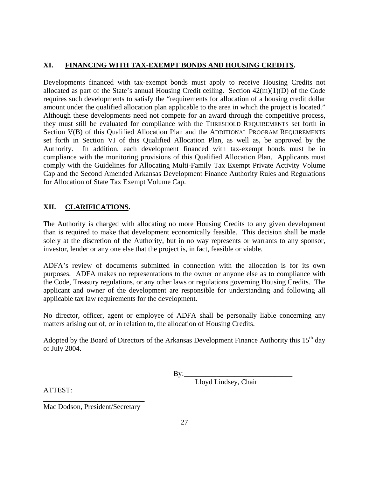# **XI. FINANCING WITH TAX-EXEMPT BONDS AND HOUSING CREDITS.**

Developments financed with tax-exempt bonds must apply to receive Housing Credits not allocated as part of the State's annual Housing Credit ceiling. Section 42(m)(1)(D) of the Code requires such developments to satisfy the "requirements for allocation of a housing credit dollar amount under the qualified allocation plan applicable to the area in which the project is located." Although these developments need not compete for an award through the competitive process, they must still be evaluated for compliance with the THRESHOLD REQUIREMENTS set forth in Section V(B) of this Qualified Allocation Plan and the ADDITIONAL PROGRAM REQUIREMENTS set forth in Section VI of this Qualified Allocation Plan, as well as, be approved by the Authority. In addition, each development financed with tax-exempt bonds must be in compliance with the monitoring provisions of this Qualified Allocation Plan. Applicants must comply with the Guidelines for Allocating Multi-Family Tax Exempt Private Activity Volume Cap and the Second Amended Arkansas Development Finance Authority Rules and Regulations for Allocation of State Tax Exempt Volume Cap.

### **XII. CLARIFICATIONS.**

The Authority is charged with allocating no more Housing Credits to any given development than is required to make that development economically feasible. This decision shall be made solely at the discretion of the Authority, but in no way represents or warrants to any sponsor, investor, lender or any one else that the project is, in fact, feasible or viable.

ADFA's review of documents submitted in connection with the allocation is for its own purposes. ADFA makes no representations to the owner or anyone else as to compliance with the Code, Treasury regulations, or any other laws or regulations governing Housing Credits. The applicant and owner of the development are responsible for understanding and following all applicable tax law requirements for the development.

No director, officer, agent or employee of ADFA shall be personally liable concerning any matters arising out of, or in relation to, the allocation of Housing Credits.

Adopted by the Board of Directors of the Arkansas Development Finance Authority this 15<sup>th</sup> day of July 2004.

By:**\_\_\_\_\_\_\_\_\_\_\_\_\_\_\_\_\_\_\_\_\_\_\_\_\_\_\_\_\_\_**

Lloyd Lindsey, Chair

ATTEST:

**\_\_\_\_\_\_\_\_\_\_\_\_\_\_\_\_\_\_\_\_\_\_\_\_\_\_\_\_**  Mac Dodson, President/Secretary